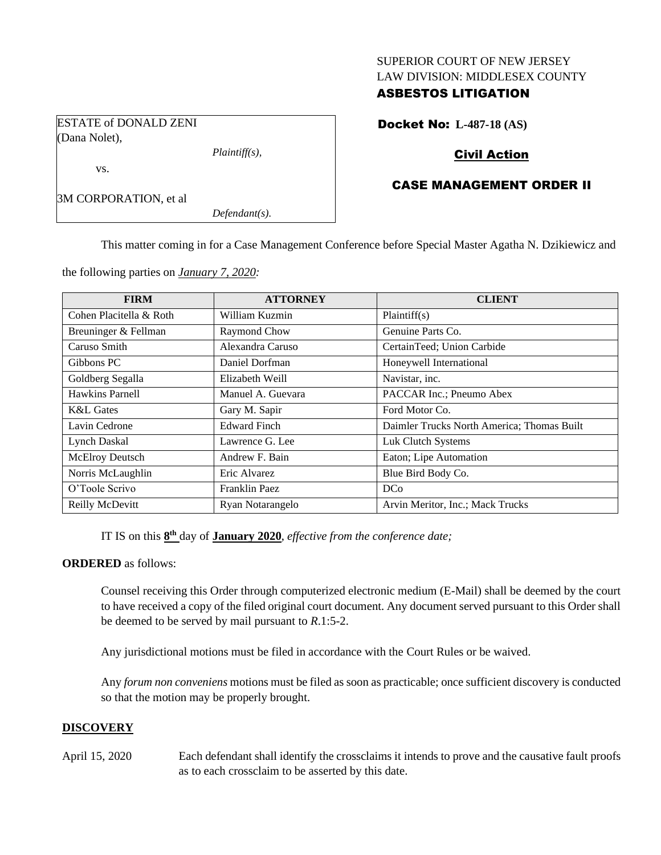### SUPERIOR COURT OF NEW JERSEY LAW DIVISION: MIDDLESEX COUNTY

# ASBESTOS LITIGATION

Docket No: **L-487-18 (AS)**

ESTATE of DONALD ZENI (Dana Nolet),

*Plaintiff(s),*

# Civil Action

# CASE MANAGEMENT ORDER II

3M CORPORATION, et al

vs.

*Defendant(s).*

This matter coming in for a Case Management Conference before Special Master Agatha N. Dzikiewicz and

the following parties on *January 7, 2020:*

| <b>FIRM</b>             | <b>ATTORNEY</b>     | <b>CLIENT</b>                              |
|-------------------------|---------------------|--------------------------------------------|
| Cohen Placitella & Roth | William Kuzmin      | Plaintiff(s)                               |
| Breuninger & Fellman    | Raymond Chow        | Genuine Parts Co.                          |
| Caruso Smith            | Alexandra Caruso    | CertainTeed; Union Carbide                 |
| Gibbons PC              | Daniel Dorfman      | Honeywell International                    |
| Goldberg Segalla        | Elizabeth Weill     | Navistar, inc.                             |
| <b>Hawkins Parnell</b>  | Manuel A. Guevara   | PACCAR Inc.; Pneumo Abex                   |
| <b>K&amp;L</b> Gates    | Gary M. Sapir       | Ford Motor Co.                             |
| Lavin Cedrone           | <b>Edward Finch</b> | Daimler Trucks North America; Thomas Built |
| <b>Lynch Daskal</b>     | Lawrence G. Lee     | Luk Clutch Systems                         |
| McElroy Deutsch         | Andrew F. Bain      | Eaton; Lipe Automation                     |
| Norris McLaughlin       | Eric Alvarez        | Blue Bird Body Co.                         |
| O'Toole Scrivo          | Franklin Paez       | <b>DCo</b>                                 |
| Reilly McDevitt         | Ryan Notarangelo    | Arvin Meritor, Inc.; Mack Trucks           |

IT IS on this  $\underline{8^{\text{th}}}$  day of **January** 2020, *effective from the conference date*;

### **ORDERED** as follows:

Counsel receiving this Order through computerized electronic medium (E-Mail) shall be deemed by the court to have received a copy of the filed original court document. Any document served pursuant to this Order shall be deemed to be served by mail pursuant to *R*.1:5-2.

Any jurisdictional motions must be filed in accordance with the Court Rules or be waived.

Any *forum non conveniens* motions must be filed as soon as practicable; once sufficient discovery is conducted so that the motion may be properly brought.

# **DISCOVERY**

April 15, 2020 Each defendant shall identify the crossclaims it intends to prove and the causative fault proofs as to each crossclaim to be asserted by this date.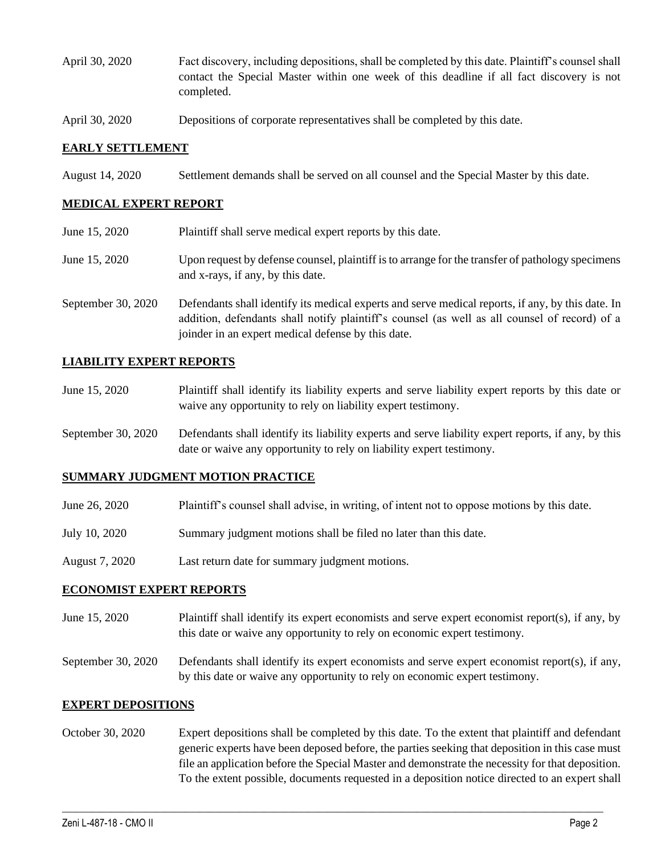- April 30, 2020 Fact discovery, including depositions, shall be completed by this date. Plaintiff's counsel shall contact the Special Master within one week of this deadline if all fact discovery is not completed.
- April 30, 2020 Depositions of corporate representatives shall be completed by this date.

### **EARLY SETTLEMENT**

August 14, 2020 Settlement demands shall be served on all counsel and the Special Master by this date.

#### **MEDICAL EXPERT REPORT**

June 15, 2020 Plaintiff shall serve medical expert reports by this date. June 15, 2020 Upon request by defense counsel, plaintiff is to arrange for the transfer of pathology specimens and x-rays, if any, by this date. September 30, 2020 Defendants shall identify its medical experts and serve medical reports, if any, by this date. In addition, defendants shall notify plaintiff's counsel (as well as all counsel of record) of a joinder in an expert medical defense by this date.

### **LIABILITY EXPERT REPORTS**

- June 15, 2020 Plaintiff shall identify its liability experts and serve liability expert reports by this date or waive any opportunity to rely on liability expert testimony.
- September 30, 2020 Defendants shall identify its liability experts and serve liability expert reports, if any, by this date or waive any opportunity to rely on liability expert testimony.

#### **SUMMARY JUDGMENT MOTION PRACTICE**

- June 26, 2020 Plaintiff's counsel shall advise, in writing, of intent not to oppose motions by this date.
- July 10, 2020 Summary judgment motions shall be filed no later than this date.
- August 7, 2020 Last return date for summary judgment motions.

#### **ECONOMIST EXPERT REPORTS**

June 15, 2020 Plaintiff shall identify its expert economists and serve expert economist report(s), if any, by this date or waive any opportunity to rely on economic expert testimony.

September 30, 2020 Defendants shall identify its expert economists and serve expert economist report(s), if any, by this date or waive any opportunity to rely on economic expert testimony.

#### **EXPERT DEPOSITIONS**

October 30, 2020 Expert depositions shall be completed by this date. To the extent that plaintiff and defendant generic experts have been deposed before, the parties seeking that deposition in this case must file an application before the Special Master and demonstrate the necessity for that deposition. To the extent possible, documents requested in a deposition notice directed to an expert shall

 $\_$  , and the set of the set of the set of the set of the set of the set of the set of the set of the set of the set of the set of the set of the set of the set of the set of the set of the set of the set of the set of th